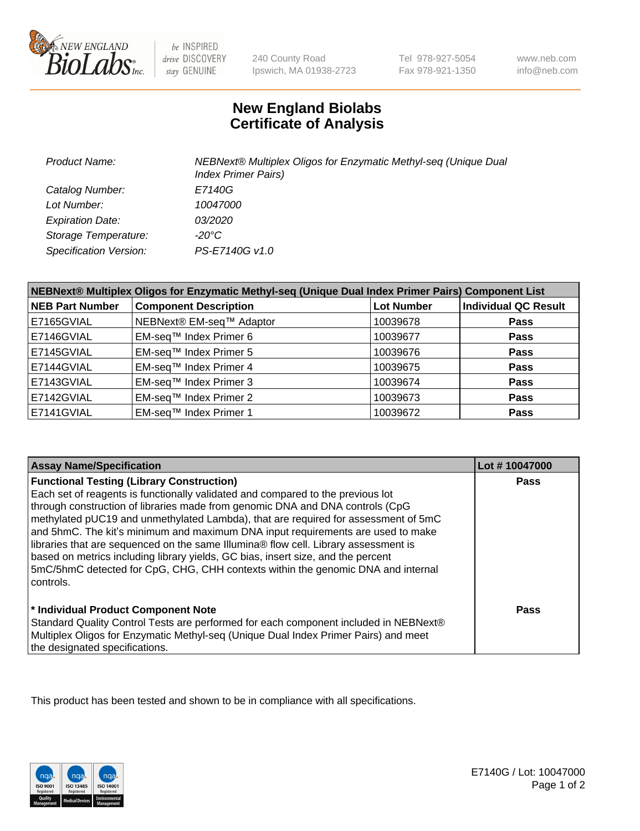

 $be$  INSPIRED drive DISCOVERY stay GENUINE

240 County Road Ipswich, MA 01938-2723

Tel 978-927-5054 Fax 978-921-1350

www.neb.com info@neb.com

## **New England Biolabs Certificate of Analysis**

| Product Name:           | NEBNext® Multiplex Oligos for Enzymatic Methyl-seq (Unique Dual<br><b>Index Primer Pairs)</b> |
|-------------------------|-----------------------------------------------------------------------------------------------|
| Catalog Number:         | E7140G                                                                                        |
| Lot Number:             | 10047000                                                                                      |
| <b>Expiration Date:</b> | <i>03/2020</i>                                                                                |
| Storage Temperature:    | -20°C                                                                                         |
| Specification Version:  | PS-E7140G v1.0                                                                                |

| NEBNext® Multiplex Oligos for Enzymatic Methyl-seq (Unique Dual Index Primer Pairs) Component List |                              |                   |                             |  |
|----------------------------------------------------------------------------------------------------|------------------------------|-------------------|-----------------------------|--|
| <b>NEB Part Number</b>                                                                             | <b>Component Description</b> | <b>Lot Number</b> | <b>Individual QC Result</b> |  |
| E7165GVIAL                                                                                         | NEBNext® EM-seq™ Adaptor     | 10039678          | <b>Pass</b>                 |  |
| E7146GVIAL                                                                                         | EM-seq™ Index Primer 6       | 10039677          | <b>Pass</b>                 |  |
| E7145GVIAL                                                                                         | EM-seq™ Index Primer 5       | 10039676          | <b>Pass</b>                 |  |
| E7144GVIAL                                                                                         | EM-seq™ Index Primer 4       | 10039675          | <b>Pass</b>                 |  |
| E7143GVIAL                                                                                         | EM-seq™ Index Primer 3       | 10039674          | <b>Pass</b>                 |  |
| E7142GVIAL                                                                                         | EM-seq™ Index Primer 2       | 10039673          | <b>Pass</b>                 |  |
| E7141GVIAL                                                                                         | EM-seq™ Index Primer 1       | 10039672          | <b>Pass</b>                 |  |

| <b>Assay Name/Specification</b>                                                                                                                                                                                                                                                                                                                                                                                                                                                      | Lot #10047000 |
|--------------------------------------------------------------------------------------------------------------------------------------------------------------------------------------------------------------------------------------------------------------------------------------------------------------------------------------------------------------------------------------------------------------------------------------------------------------------------------------|---------------|
| <b>Functional Testing (Library Construction)</b><br>Each set of reagents is functionally validated and compared to the previous lot<br>through construction of libraries made from genomic DNA and DNA controls (CpG<br>methylated pUC19 and unmethylated Lambda), that are required for assessment of 5mC<br>and 5hmC. The kit's minimum and maximum DNA input requirements are used to make<br>libraries that are sequenced on the same Illumina® flow cell. Library assessment is | <b>Pass</b>   |
| based on metrics including library yields, GC bias, insert size, and the percent<br>5mC/5hmC detected for CpG, CHG, CHH contexts within the genomic DNA and internal<br>l controls.                                                                                                                                                                                                                                                                                                  |               |
| * Individual Product Component Note<br>Standard Quality Control Tests are performed for each component included in NEBNext®<br>Multiplex Oligos for Enzymatic Methyl-seq (Unique Dual Index Primer Pairs) and meet<br>the designated specifications.                                                                                                                                                                                                                                 | Pass          |

This product has been tested and shown to be in compliance with all specifications.